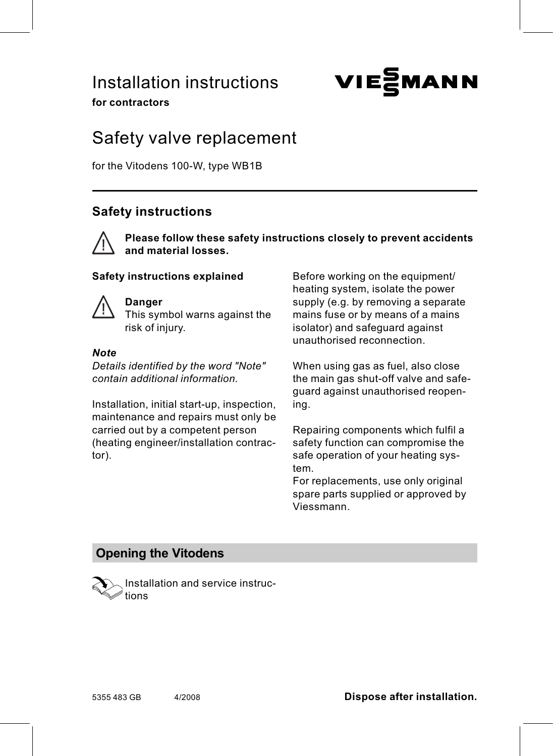# Installation instructions **VIESMANN**



for contractors

## Safety valve replacement

for the Vitodens 100-W, type WB1B

### Safety instructions



Please follow these safety instructions closely to prevent accidents and material losses.

#### Safety instructions explained



#### Danger

This symbol warns against the risk of injury.

#### **Note**

Details identified by the word "Note" contain additional information.

Installation, initial start-up, inspection, maintenance and repairs must only be carried out by a competent person (heating engineer/installation contractor).

Before working on the equipment/ heating system, isolate the power supply (e.g. by removing a separate mains fuse or by means of a mains isolator) and safeguard against unauthorised reconnection.

When using gas as fuel, also close the main gas shut-off valve and safeguard against unauthorised reopening.

Repairing components which fulfil a safety function can compromise the safe operation of your heating system.

For replacements, use only original spare parts supplied or approved by Viessmann.

#### Opening the Vitodens



Installation and service instructions

5355 483 GB 4/2008 Dispose after installation.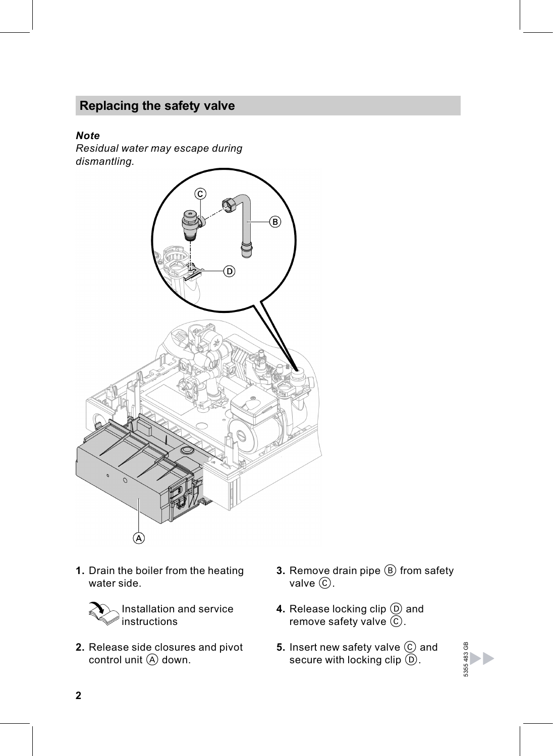## Replacing the safety valve

Note

Residual water may escape during dismantling.



1. Drain the boiler from the heating water side.

Installation and service instructions

- 2. Release side closures and pivot control unit  $\textcircled{A}$  down.
- 3. Remove drain pipe  $\circledB$  from safety valve  $\circled{c}$ .
- 4. Release locking clip  $\textcircled{\scriptsize{D}}}$  and remove safety valve  $\overline{\mathbb{C}}$ .
- 5. Insert new safety valve  $\copyright$  and secure with locking clip  $\overline{⑤}$ .

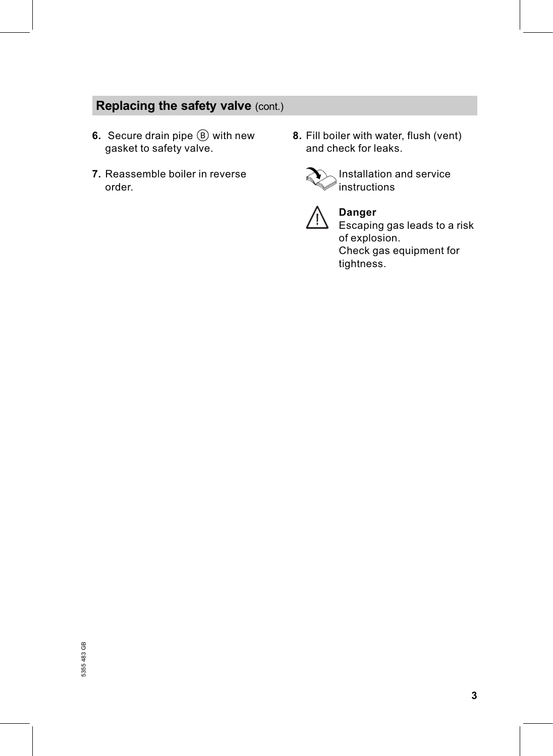## Replacing the safety valve (cont.)

- 6. Secure drain pipe  $\circledB$  with new gasket to safety valve.
- 7. Reassemble boiler in reverse order.
- 8. Fill boiler with water, flush (vent) and check for leaks.





## Danger

Escaping gas leads to a risk of explosion. Check gas equipment for tightness.